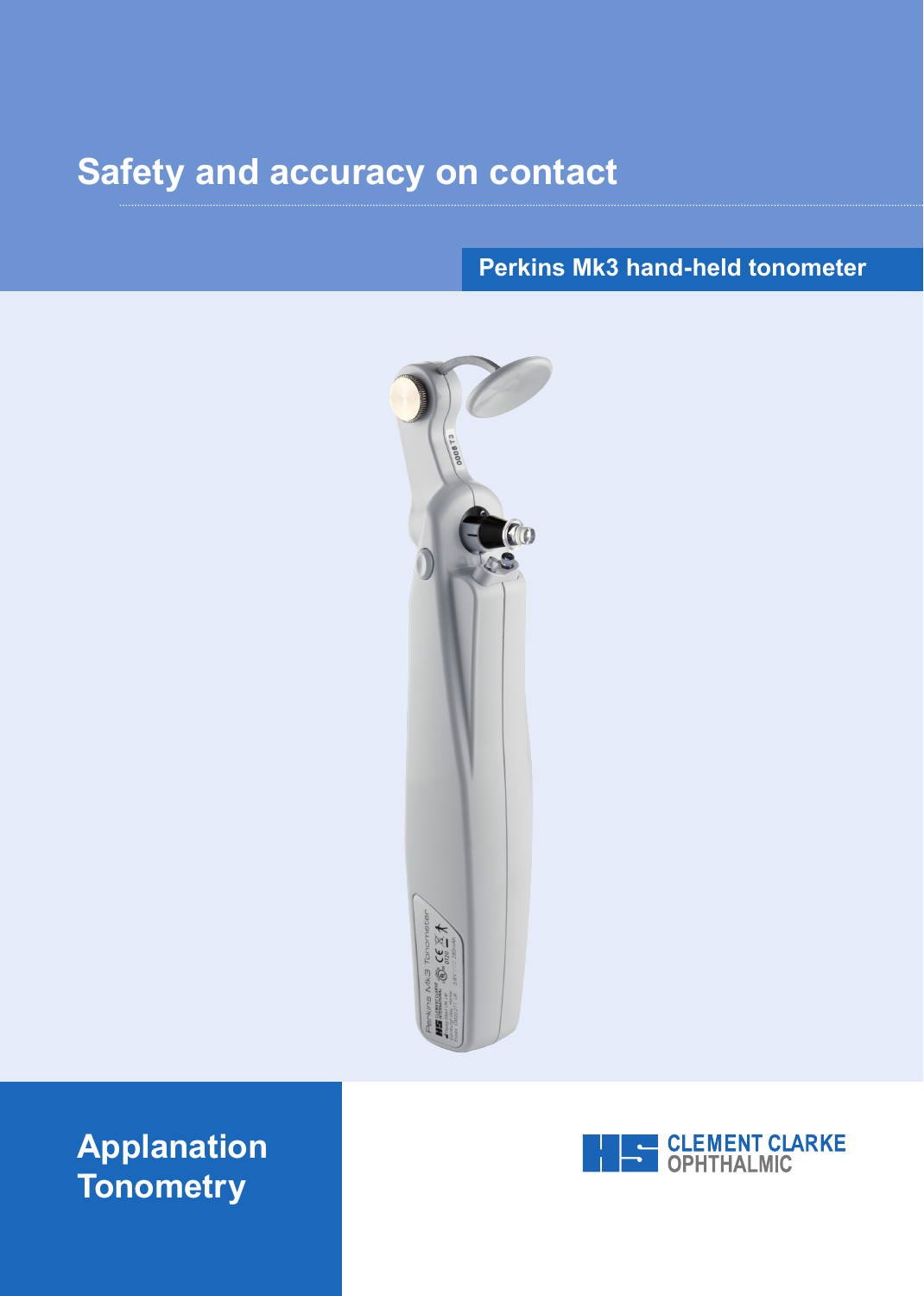# **Safety and accuracy on contact**

# **Perkins Mk3 hand-held tonometer**



# **Applanation Tonometry**